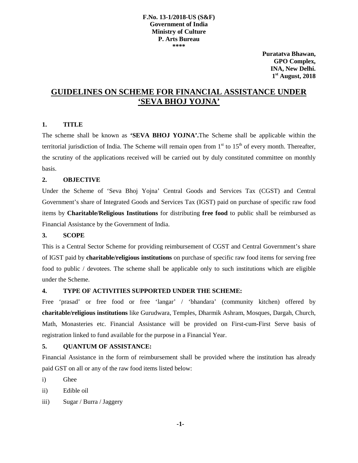#### **F.No. 13-1/2018-US (S&F) Government of India Ministry of Culture P. Arts Bureau \*\*\*\***

**Puratatva Bhawan, GPO Complex, INA, New Delhi. 1st August, 2018** 

# **GUIDELINES ON SCHEME FOR FINANCIAL ASSISTANCE UNDER 'SEVA BHOJ YOJNA'**

### **1. TITLE**

The scheme shall be known as **'SEVA BHOJ YOJNA'.**The Scheme shall be applicable within the territorial jurisdiction of India. The Scheme will remain open from  $1<sup>st</sup>$  to  $15<sup>th</sup>$  of every month. Thereafter, the scrutiny of the applications received will be carried out by duly constituted committee on monthly basis.

## **2. OBJECTIVE**

Under the Scheme of 'Seva Bhoj Yojna' Central Goods and Services Tax (CGST) and Central Government's share of Integrated Goods and Services Tax (IGST) paid on purchase of specific raw food items by **Charitable/Religious Institutions** for distributing **free food** to public shall be reimbursed as Financial Assistance by the Government of India.

### **3. SCOPE**

This is a Central Sector Scheme for providing reimbursement of CGST and Central Government's share of IGST paid by **charitable/religious institutions** on purchase of specific raw food items for serving free food to public / devotees. The scheme shall be applicable only to such institutions which are eligible under the Scheme.

### **4. TYPE OF ACTIVITIES SUPPORTED UNDER THE SCHEME:**

Free 'prasad' or free food or free 'langar' / 'bhandara' (community kitchen) offered by **charitable/religious institutions** like Gurudwara, Temples, Dharmik Ashram, Mosques, Dargah, Church, Math, Monasteries etc. Financial Assistance will be provided on First-cum-First Serve basis of registration linked to fund available for the purpose in a Financial Year.

### **5. QUANTUM OF ASSISTANCE:**

Financial Assistance in the form of reimbursement shall be provided where the institution has already paid GST on all or any of the raw food items listed below:

i) Ghee

ii) Edible oil

iii) Sugar / Burra / Jaggery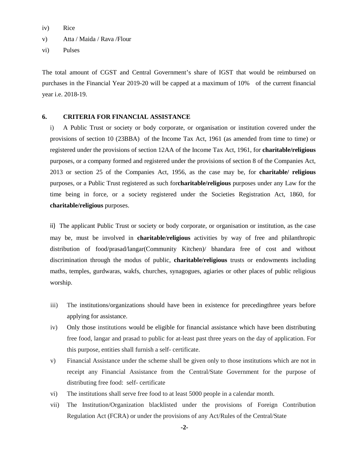iv) Rice

v) Atta / Maida / Rava /Flour

vi) Pulses

The total amount of CGST and Central Government's share of IGST that would be reimbursed on purchases in the Financial Year 2019-20 will be capped at a maximum of 10% of the current financial year i.e. 2018-19.

#### **6. CRITERIA FOR FINANCIAL ASSISTANCE**

i) A Public Trust or society or body corporate, or organisation or institution covered under the provisions of section 10 (23BBA) of the Income Tax Act, 1961 (as amended from time to time) or registered under the provisions of section 12AA of the Income Tax Act, 1961, for **charitable/religious** purposes, or a company formed and registered under the provisions of section 8 of the Companies Act, 2013 or section 25 of the Companies Act, 1956, as the case may be, for **charitable/ religious** purposes, or a Public Trust registered as such for**charitable/religious** purposes under any Law for the time being in force, or a society registered under the Societies Registration Act, 1860, for **charitable/religious** purposes.

ii) The applicant Public Trust or society or body corporate, or organisation or institution, as the case may be, must be involved in **charitable/religious** activities by way of free and philanthropic distribution of food/prasad/langar(Community Kitchen)/ bhandara free of cost and without discrimination through the modus of public, **charitable/religious** trusts or endowments including maths, temples, gurdwaras, wakfs, churches, synagogues, agiaries or other places of public religious worship.

- iii) The institutions/organizations should have been in existence for precedingthree years before applying for assistance.
- iv) Only those institutions would be eligible for financial assistance which have been distributing free food, langar and prasad to public for at-least past three years on the day of application. For this purpose, entities shall furnish a self- certificate.
- v) Financial Assistance under the scheme shall be given only to those institutions which are not in receipt any Financial Assistance from the Central/State Government for the purpose of distributing free food: self- certificate
- vi) The institutions shall serve free food to at least 5000 people in a calendar month.
- vii) The Institution/Organization blacklisted under the provisions of Foreign Contribution Regulation Act (FCRA) or under the provisions of any Act/Rules of the Central/State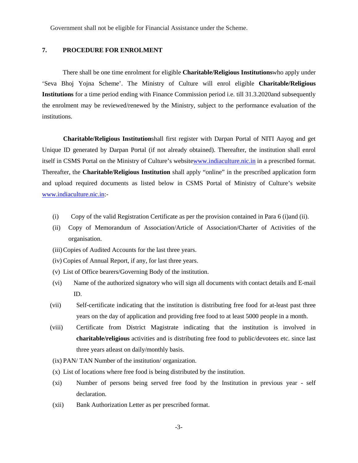Government shall not be eligible for Financial Assistance under the Scheme.

#### **7. PROCEDURE FOR ENROLMENT**

There shall be one time enrolment for eligible **Charitable/Religious Institutions**who apply under 'Seva Bhoj Yojna Scheme'. The Ministry of Culture will enrol eligible **Charitable/Religious Institutions** for a time period ending with Finance Commission period i.e. till 31.3.2020and subsequently the enrolment may be reviewed/renewed by the Ministry, subject to the performance evaluation of the institutions.

**Charitable/Religious Institution**shall first register with Darpan Portal of NITI Aayog and get Unique ID generated by Darpan Portal (if not already obtained). Thereafter, the institution shall enrol itself in CSMS Portal on the Ministry of Culture's websit[ewww.indiaculture.nic.in](http://www.indiaculture.nic.in/) in a prescribed format. Thereafter, the **Charitable/Religious Institution** shall apply "online" in the prescribed application form and upload required documents as listed below in CSMS Portal of Ministry of Culture's website [www.indiaculture.nic.in:](http://www.indiaculture.nic.in/)-

- (i) Copy of the valid Registration Certificate as per the provision contained in Para 6 (i)and (ii).
- (ii) Copy of Memorandum of Association/Article of Association/Charter of Activities of the organisation.
- (iii)Copies of Audited Accounts for the last three years.
- (iv) Copies of Annual Report, if any, for last three years.
- (v) List of Office bearers/Governing Body of the institution.
- (vi) Name of the authorized signatory who will sign all documents with contact details and E-mail ID.
- (vii) Self-certificate indicating that the institution is distributing free food for at-least past three years on the day of application and providing free food to at least 5000 people in a month.
- (viii) Certificate from District Magistrate indicating that the institution is involved in **charitable/religious** activities and is distributing free food to public/devotees etc. since last three years atleast on daily/monthly basis.
- (ix) PAN/ TAN Number of the institution/ organization.
- (x) List of locations where free food is being distributed by the institution.
- (xi) Number of persons being served free food by the Institution in previous year self declaration.
- (xii) Bank Authorization Letter as per prescribed format.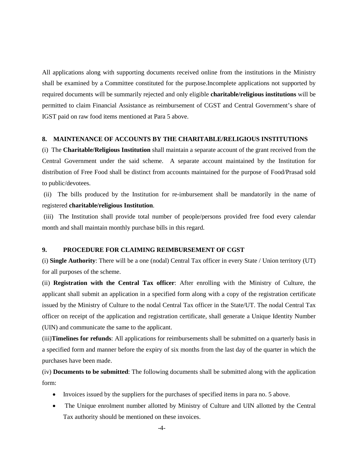All applications along with supporting documents received online from the institutions in the Ministry shall be examined by a Committee constituted for the purpose.Incomplete applications not supported by required documents will be summarily rejected and only eligible **charitable/religious institutions** will be permitted to claim Financial Assistance as reimbursement of CGST and Central Government's share of IGST paid on raw food items mentioned at Para 5 above.

### **8. MAINTENANCE OF ACCOUNTS BY THE CHARITABLE/RELIGIOUS INSTITUTIONS**

(i) The **Charitable/Religious Institution** shall maintain a separate account of the grant received from the Central Government under the said scheme. A separate account maintained by the Institution for distribution of Free Food shall be distinct from accounts maintained for the purpose of Food/Prasad sold to public/devotees.

(ii) The bills produced by the Institution for re-imbursement shall be mandatorily in the name of registered **charitable/religious Institution**.

(iii) The Institution shall provide total number of people/persons provided free food every calendar month and shall maintain monthly purchase bills in this regard.

#### **9. PROCEDURE FOR CLAIMING REIMBURSEMENT OF CGST**

(i) **Single Authority**: There will be a one (nodal) Central Tax officer in every State / Union territory (UT) for all purposes of the scheme.

(ii) **Registration with the Central Tax officer**: After enrolling with the Ministry of Culture, the applicant shall submit an application in a specified form along with a copy of the registration certificate issued by the Ministry of Culture to the nodal Central Tax officer in the State/UT. The nodal Central Tax officer on receipt of the application and registration certificate, shall generate a Unique Identity Number (UIN) and communicate the same to the applicant.

(iii)**Timelines for refunds**: All applications for reimbursements shall be submitted on a quarterly basis in a specified form and manner before the expiry of six months from the last day of the quarter in which the purchases have been made.

(iv) **Documents to be submitted**: The following documents shall be submitted along with the application form:

- Invoices issued by the suppliers for the purchases of specified items in para no. 5 above.
- The Unique enrolment number allotted by Ministry of Culture and UIN allotted by the Central Tax authority should be mentioned on these invoices.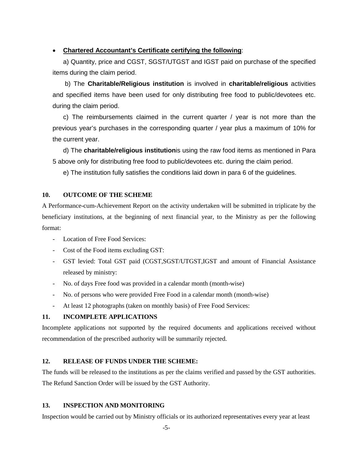## • **Chartered Accountant's Certificate certifying the following**:

a) Quantity, price and CGST, SGST/UTGST and IGST paid on purchase of the specified items during the claim period.

b) The **Charitable/Religious institution** is involved in **charitable/religious** activities and specified items have been used for only distributing free food to public/devotees etc. during the claim period.

c) The reimbursements claimed in the current quarter / year is not more than the previous year's purchases in the corresponding quarter / year plus a maximum of 10% for the current year.

d) The **charitable/religious institution**is using the raw food items as mentioned in Para 5 above only for distributing free food to public/devotees etc. during the claim period.

e) The institution fully satisfies the conditions laid down in para 6 of the guidelines.

## **10. OUTCOME OF THE SCHEME**

A Performance-cum-Achievement Report on the activity undertaken will be submitted in triplicate by the beneficiary institutions, at the beginning of next financial year, to the Ministry as per the following format:

- Location of Free Food Services:
- Cost of the Food items excluding GST:
- GST levied: Total GST paid (CGST,SGST/UTGST,IGST and amount of Financial Assistance released by ministry:
- No. of days Free food was provided in a calendar month (month-wise)
- No. of persons who were provided Free Food in a calendar month (month-wise)
- At least 12 photographs (taken on monthly basis) of Free Food Services:

# **11. INCOMPLETE APPLICATIONS**

Incomplete applications not supported by the required documents and applications received without recommendation of the prescribed authority will be summarily rejected.

## **12. RELEASE OF FUNDS UNDER THE SCHEME:**

The funds will be released to the institutions as per the claims verified and passed by the GST authorities. The Refund Sanction Order will be issued by the GST Authority.

## **13. INSPECTION AND MONITORING**

Inspection would be carried out by Ministry officials or its authorized representatives every year at least